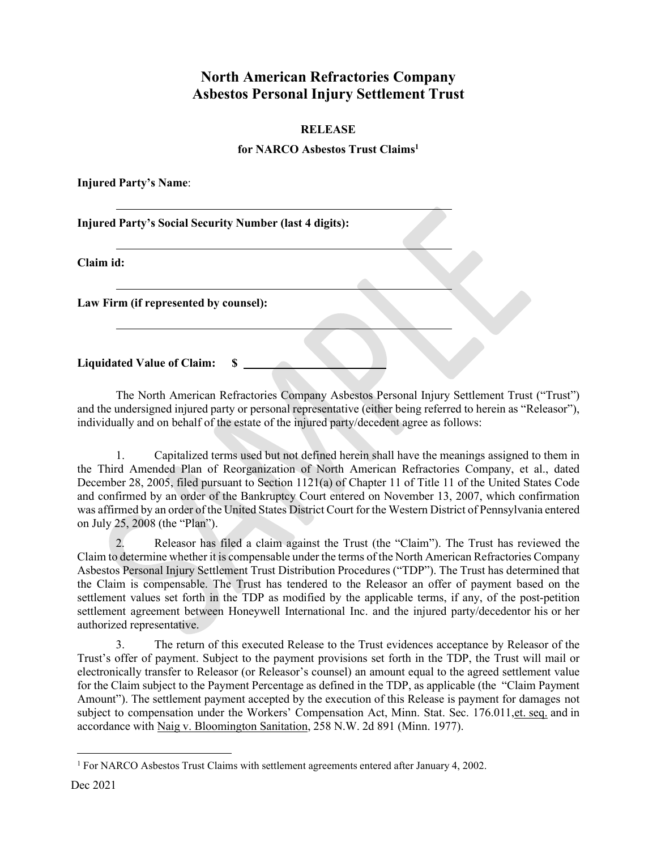## **North American Refractories Company Asbestos Personal Injury Settlement Trust**

## **RELEASE**

## **for NARCO Asbestos Trust Claim[s1](#page-0-0)**

**Injured Party's Name**:

**Injured Party's Social Security Number (last 4 digits):**

**Claim id:**

**Law Firm (if represented by counsel):**

**Liquidated Value of Claim: \$** 

The North American Refractories Company Asbestos Personal Injury Settlement Trust ("Trust") and the undersigned injured party or personal representative (either being referred to herein as "Releasor"), individually and on behalf of the estate of the injured party/decedent agree as follows:

1. Capitalized terms used but not defined herein shall have the meanings assigned to them in the Third Amended Plan of Reorganization of North American Refractories Company, et al., dated December 28, 2005, filed pursuant to Section 1121(a) of Chapter 11 of Title 11 of the United States Code and confirmed by an order of the Bankruptcy Court entered on November 13, 2007, which confirmation was affirmed by an order of the United States District Court for the Western District of Pennsylvania entered on July 25, 2008 (the "Plan").

2. Releasor has filed a claim against the Trust (the "Claim"). The Trust has reviewed the Claim to determine whether it is compensable under the terms of the North American Refractories Company Asbestos Personal Injury Settlement Trust Distribution Procedures ("TDP"). The Trust has determined that the Claim is compensable. The Trust has tendered to the Releasor an offer of payment based on the settlement values set forth in the TDP as modified by the applicable terms, if any, of the post-petition settlement agreement between Honeywell International Inc. and the injured party/decedentor his or her authorized representative.

3. The return of this executed Release to the Trust evidences acceptance by Releasor of the Trust's offer of payment. Subject to the payment provisions set forth in the TDP, the Trust will mail or electronically transfer to Releasor (or Releasor's counsel) an amount equal to the agreed settlement value for the Claim subject to the Payment Percentage as defined in the TDP, as applicable (the "Claim Payment Amount"). The settlement payment accepted by the execution of this Release is payment for damages not subject to compensation under the Workers' Compensation Act, Minn. Stat. Sec. 176.011, et. seq. and in accordance with Naig v. Bloomington Sanitation, 258 N.W. 2d 891 (Minn. 1977).

<span id="page-0-0"></span><sup>1</sup> For NARCO Asbestos Trust Claims with settlement agreements entered after January 4, 2002.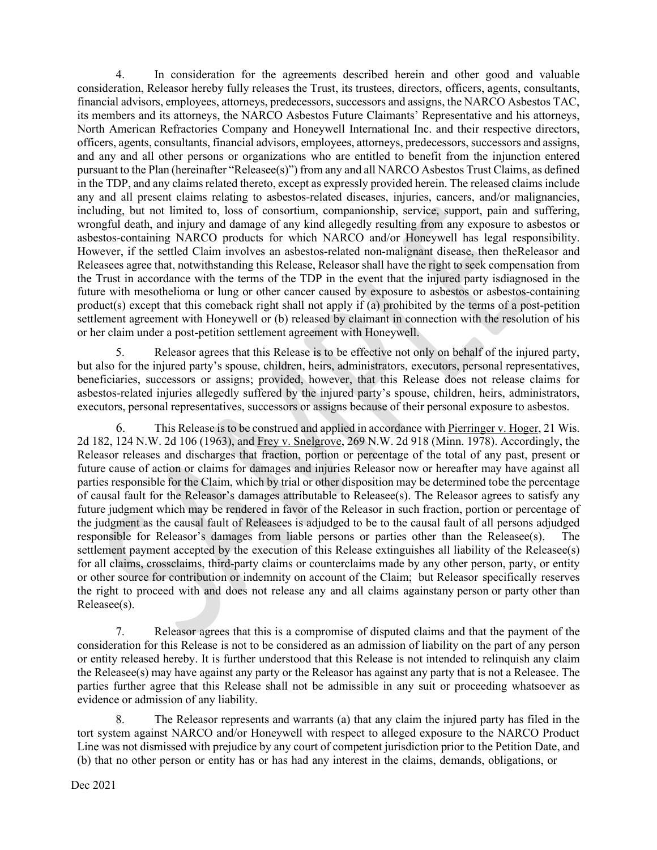4. In consideration for the agreements described herein and other good and valuable consideration, Releasor hereby fully releases the Trust, its trustees, directors, officers, agents, consultants, financial advisors, employees, attorneys, predecessors, successors and assigns, the NARCO Asbestos TAC, its members and its attorneys, the NARCO Asbestos Future Claimants' Representative and his attorneys, North American Refractories Company and Honeywell International Inc. and their respective directors, officers, agents, consultants, financial advisors, employees, attorneys, predecessors, successors and assigns, and any and all other persons or organizations who are entitled to benefit from the injunction entered pursuant to the Plan (hereinafter "Releasee(s)") from any and all NARCO Asbestos Trust Claims, as defined in the TDP, and any claims related thereto, except as expressly provided herein. The released claims include any and all present claims relating to asbestos-related diseases, injuries, cancers, and/or malignancies, including, but not limited to, loss of consortium, companionship, service, support, pain and suffering, wrongful death, and injury and damage of any kind allegedly resulting from any exposure to asbestos or asbestos-containing NARCO products for which NARCO and/or Honeywell has legal responsibility. However, if the settled Claim involves an asbestos-related non-malignant disease, then theReleasor and Releasees agree that, notwithstanding this Release, Releasor shall have the right to seek compensation from the Trust in accordance with the terms of the TDP in the event that the injured party isdiagnosed in the future with mesothelioma or lung or other cancer caused by exposure to asbestos or asbestos-containing product(s) except that this comeback right shall not apply if (a) prohibited by the terms of a post-petition settlement agreement with Honeywell or (b) released by claimant in connection with the resolution of his or her claim under a post-petition settlement agreement with Honeywell.

5. Releasor agrees that this Release is to be effective not only on behalf of the injured party, but also for the injured party's spouse, children, heirs, administrators, executors, personal representatives, beneficiaries, successors or assigns; provided, however, that this Release does not release claims for asbestos-related injuries allegedly suffered by the injured party's spouse, children, heirs, administrators, executors, personal representatives, successors or assigns because of their personal exposure to asbestos.

6. This Release is to be construed and applied in accordance with Pierringer v. Hoger, 21 Wis. 2d 182, 124 N.W. 2d 106 (1963), and Frey v. Snelgrove, 269 N.W. 2d 918 (Minn. 1978). Accordingly, the Releasor releases and discharges that fraction, portion or percentage of the total of any past, present or future cause of action or claims for damages and injuries Releasor now or hereafter may have against all parties responsible for the Claim, which by trial or other disposition may be determined tobe the percentage of causal fault for the Releasor's damages attributable to Releasee(s). The Releasor agrees to satisfy any future judgment which may be rendered in favor of the Releasor in such fraction, portion or percentage of the judgment as the causal fault of Releasees is adjudged to be to the causal fault of all persons adjudged responsible for Releasor's damages from liable persons or parties other than the Releasee(s). settlement payment accepted by the execution of this Release extinguishes all liability of the Releasee(s) for all claims, crossclaims, third-party claims or counterclaims made by any other person, party, or entity or other source for contribution or indemnity on account of the Claim; but Releasor specifically reserves the right to proceed with and does not release any and all claims againstany person or party other than Releasee(s).

7. Releasor agrees that this is a compromise of disputed claims and that the payment of the consideration for this Release is not to be considered as an admission of liability on the part of any person or entity released hereby. It is further understood that this Release is not intended to relinquish any claim the Releasee(s) may have against any party or the Releasor has against any party that is not a Releasee. The parties further agree that this Release shall not be admissible in any suit or proceeding whatsoever as evidence or admission of any liability.

The Releasor represents and warrants (a) that any claim the injured party has filed in the tort system against NARCO and/or Honeywell with respect to alleged exposure to the NARCO Product Line was not dismissed with prejudice by any court of competent jurisdiction prior to the Petition Date, and (b) that no other person or entity has or has had any interest in the claims, demands, obligations, or